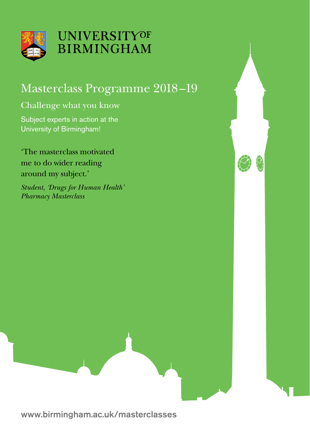

## **UNIVERSITYOF BIRMINGHAM**

## Masterclass Programme 2018–19

### Challenge what you know

Subject experts in action at the University of Birmingham!

'The masterclass motivated me to do wider reading around my subject.'

*Student, 'Drugs for Human Health' Pharmacy Masterclass*

www.birmingham.ac.uk/masterclasses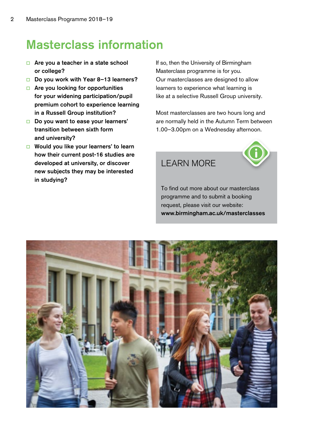## Masterclass information

- $\Box$  Are you a teacher in a state school or college?
- □ Do you work with Year 8-13 learners?
- $\Box$  Are you looking for opportunities for your widening participation/pupil premium cohort to experience learning in a Russell Group institution?
- $\Box$  Do you want to ease your learners' transition between sixth form and university?
- $\Box$  Would you like your learners' to learn how their current post-16 studies are developed at university, or discover new subjects they may be interested in studying?

If so, then the University of Birmingham Masterclass programme is for you. Our masterclasses are designed to allow learners to experience what learning is like at a selective Russell Group university.

Most masterclasses are two hours long and are normally held in the Autumn Term between 1.00–3.00pm on a Wednesday afternoon.



### LEARN MORE

To find out more about our masterclass programme and to submit a booking request, please visit our website: www.birmingham.ac.uk/masterclasses

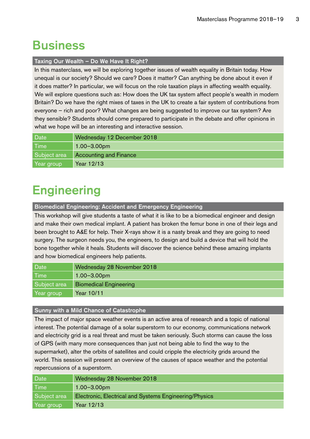### **Business**

#### Taxing Our Wealth - Do We Have It Right?

In this masterclass, we will be exploring together issues of wealth equality in Britain today. How unequal is our society? Should we care? Does it matter? Can anything be done about it even if it does matter? In particular, we will focus on the role taxation plays in affecting wealth equality. We will explore questions such as: How does the UK tax system affect people's wealth in modern Britain? Do we have the right mixes of taxes in the UK to create a fair system of contributions from everyone – rich and poor? What changes are being suggested to improve our tax system? Are they sensible? Students should come prepared to participate in the debate and offer opinions in what we hope will be an interesting and interactive session.

| Date         | Wednesday 12 December 2018    |
|--------------|-------------------------------|
| <b>Time</b>  | $1.00 - 3.00$ pm              |
| Subject area | <b>Accounting and Finance</b> |
| Year group   | Year 12/13                    |

# **Engineering**

Biomedical Engineering: Accident and Emergency Engineering

This workshop will give students a taste of what it is like to be a biomedical engineer and design and make their own medical implant. A patient has broken the femur bone in one of their legs and been brought to A&E for help. Their X-rays show it is a nasty break and they are going to need surgery. The surgeon needs you, the engineers, to design and build a device that will hold the bone together while it heals. Students will discover the science behind these amazing implants and how biomedical engineers help patients.

| Date         | Wednesday 28 November 2018    |
|--------------|-------------------------------|
| <b>Time</b>  | $1.00 - 3.00$ pm              |
| Subject area | <b>Biomedical Engineering</b> |
| Year group   | Year 10/11                    |

#### Sunny with a Mild Chance of Catastrophe

The impact of major space weather events is an active area of research and a topic of national interest. The potential damage of a solar superstorm to our economy, communications network and electricity grid is a real threat and must be taken seriously. Such storms can cause the loss of GPS (with many more consequences than just not being able to find the way to the supermarket), alter the orbits of satellites and could cripple the electricity grids around the world. This session will present an overview of the causes of space weather and the potential repercussions of a superstorm.

| <b>Date</b>  | Wednesday 28 November 2018                             |
|--------------|--------------------------------------------------------|
| Time         | $1.00 - 3.00$ pm                                       |
| Subject area | Electronic, Electrical and Systems Engineering/Physics |
| Year group   | Year 12/13                                             |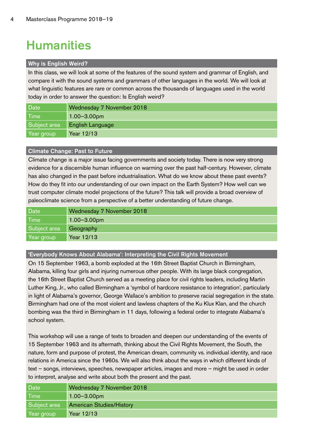# **Humanities**

#### Why is English Weird?

In this class, we will look at some of the features of the sound system and grammar of English, and compare it with the sound systems and grammars of other languages in the world. We will look at what linguistic features are rare or common across the thousands of languages used in the world today in order to answer the question: Is English weird?

| Date         | Wednesday 7 November 2018 |
|--------------|---------------------------|
| Time         | $1.00 - 3.00$ pm          |
| Subject area | English Language          |
| Year group   | Year 12/13                |

#### Climate Change: Past to Future

Climate change is a major issue facing governments and society today. There is now very strong evidence for a discernible human influence on warming over the past half-century. However, climate has also changed in the past before industrialisation. What do we know about these past events? How do they fit into our understanding of our own impact on the Earth System? How well can we trust computer climate model projections of the future? This talk will provide a broad overview of paleoclimate science from a perspective of a better understanding of future change.

| Date         | Wednesday 7 November 2018 |
|--------------|---------------------------|
| Time         | $1.00 - 3.00$ pm          |
| Subject area | Geography                 |
| Year group   | Year 12/13                |

'Everybody Knows About Alabama': Interpreting the Civil Rights Movement

On 15 September 1963, a bomb exploded at the 16th Street Baptist Church in Birmingham, Alabama, killing four girls and injuring numerous other people. With its large black congregation, the 16th Street Baptist Church served as a meeting place for civil rights leaders, including Martin Luther King, Jr., who called Birmingham a 'symbol of hardcore resistance to integration', particularly in light of Alabama's governor, George Wallace's ambition to preserve racial segregation in the state. Birmingham had one of the most violent and lawless chapters of the Ku Klux Klan, and the church bombing was the third in Birmingham in 11 days, following a federal order to integrate Alabama's school system.

This workshop will use a range of texts to broaden and deepen our understanding of the events of 15 September 1963 and its aftermath, thinking about the Civil Rights Movement, the South, the nature, form and purpose of protest, the American dream, community vs. individual identity, and race relations in America since the 1960s. We will also think about the ways in which different kinds of text – songs, interviews, speeches, newspaper articles, images and more – might be used in order to interpret, analyse and write about both the present and the past.

| Date         | Wednesday 7 November 2018       |
|--------------|---------------------------------|
| l Time       | $1.00 - 3.00$ pm                |
| Subject area | <b>American Studies/History</b> |
| Year group   | Year 12/13                      |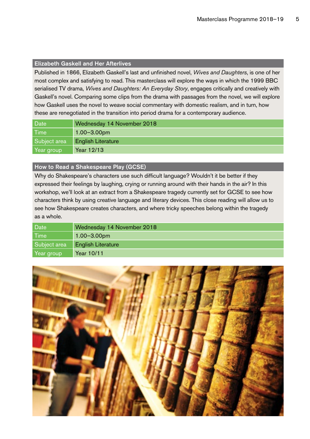#### Elizabeth Gaskell and Her Afterlives

Published in 1866, Elizabeth Gaskell's last and unfinished novel, *Wives and Daughters*, is one of her most complex and satisfying to read. This masterclass will explore the ways in which the 1999 BBC serialised TV drama, *Wives and Daughters: An Everyday Story*, engages critically and creatively with Gaskell's novel. Comparing some clips from the drama with passages from the novel, we will explore how Gaskell uses the novel to weave social commentary with domestic realism, and in turn, how these are renegotiated in the transition into period drama for a contemporary audience.

| Date         | Wednesday 14 November 2018 |
|--------------|----------------------------|
| <b>Time</b>  | $1.00 - 3.00$ pm           |
| Subject area | <b>English Literature</b>  |
| Year group   | Year 12/13                 |

#### How to Read a Shakespeare Play (GCSE)

Why do Shakespeare's characters use such difficult language? Wouldn't it be better if they expressed their feelings by laughing, crying or running around with their hands in the air? In this workshop, we'll look at an extract from a Shakespeare tragedy currently set for GCSE to see how characters think by using creative language and literary devices. This close reading will allow us to see how Shakespeare creates characters, and where tricky speeches belong within the tragedy as a whole.

| Date         | Wednesday 14 November 2018 |
|--------------|----------------------------|
| <b>Time</b>  | $1.00 - 3.00$ pm           |
| Subject area | <b>English Literature</b>  |
| Year group   | Year 10/11                 |

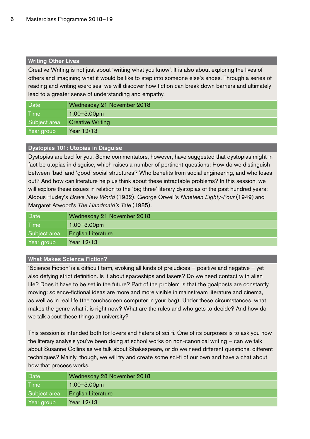#### Writing Other Lives

Creative Writing is not just about 'writing what you know'. It is also about exploring the lives of others and imagining what it would be like to step into someone else's shoes. Through a series of reading and writing exercises, we will discover how fiction can break down barriers and ultimately lead to a greater sense of understanding and empathy.

| Date         | Wednesday 21 November 2018 |
|--------------|----------------------------|
| Time         | $1.00 - 3.00$ pm           |
| Subject area | <b>Creative Writing</b>    |
| Year group   | Year 12/13                 |

#### Dystopias 101: Utopias in Disguise

Dystopias are bad for you. Some commentators, however, have suggested that dystopias might in fact be utopias in disguise, which raises a number of pertinent questions: How do we distinguish between 'bad' and 'good' social structures? Who benefits from social engineering, and who loses out? And how can literature help us think about these intractable problems? In this session, we will explore these issues in relation to the 'big three' literary dystopias of the past hundred years: Aldous Huxley's *Brave New World* (1932), George Orwell's *Nineteen Eighty-Four* (1949) and Margaret Atwood's *The Handmaid's Tale* (1985).

| Date         | Wednesday 21 November 2018 |
|--------------|----------------------------|
| Time         | $1.00 - 3.00$ pm           |
| Subject area | <b>English Literature</b>  |
| Year group   | Year 12/13                 |

#### What Makes Science Fiction?

'Science Fiction' is a difficult term, evoking all kinds of prejudices – positive and negative – yet also defying strict definition. Is it about spaceships and lasers? Do we need contact with alien life? Does it have to be set in the future? Part of the problem is that the goalposts are constantly moving: science-fictional ideas are more and more visible in mainstream literature and cinema, as well as in real life (the touchscreen computer in your bag). Under these circumstances, what makes the genre what it is right now? What are the rules and who gets to decide? And how do we talk about these things at university?

This session is intended both for lovers and haters of sci-fi. One of its purposes is to ask you how the literary analysis you've been doing at school works on non-canonical writing – can we talk about Susanne Collins as we talk about Shakespeare, or do we need different questions, different techniques? Mainly, though, we will try and create some sci-fi of our own and have a chat about how that process works.

| Date         | Wednesday 28 November 2018 |
|--------------|----------------------------|
| l Time       | $1.00 - 3.00$ pm           |
| Subject area | <b>English Literature</b>  |
| Year group   | Year 12/13                 |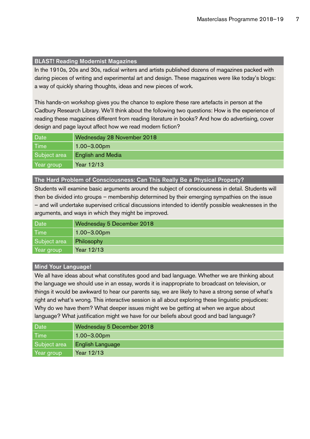#### BLAST! Reading Modernist Magazines

In the 1910s, 20s and 30s, radical writers and artists published dozens of magazines packed with daring pieces of writing and experimental art and design. These magazines were like today's blogs: a way of quickly sharing thoughts, ideas and new pieces of work.

This hands-on workshop gives you the chance to explore these rare artefacts in person at the Cadbury Research Library. We'll think about the following two questions: How is the experience of reading these magazines different from reading literature in books? And how do advertising, cover design and page layout affect how we read modern fiction?

| Date         | Wednesday 28 November 2018 |
|--------------|----------------------------|
| <b>Time</b>  | $1.00 - 3.00$ pm           |
| Subject area | <b>English and Media</b>   |
| Year group   | Year 12/13                 |

#### The Hard Problem of Consciousness: Can This Really Be a Physical Property?

Students will examine basic arguments around the subject of consciousness in detail. Students will then be divided into groups – membership determined by their emerging sympathies on the issue – and will undertake supervised critical discussions intended to identify possible weaknesses in the arguments, and ways in which they might be improved.

| Date         | Wednesday 5 December 2018 |
|--------------|---------------------------|
| l Time       | $1.00 - 3.00$ pm          |
| Subject area | Philosophy                |
| Year group   | Year 12/13                |

#### Mind Your Language!

We all have ideas about what constitutes good and bad language. Whether we are thinking about the language we should use in an essay, words it is inappropriate to broadcast on television, or things it would be awkward to hear our parents say, we are likely to have a strong sense of what's right and what's wrong. This interactive session is all about exploring these linguistic prejudices: Why do we have them? What deeper issues might we be getting at when we argue about language? What justification might we have for our beliefs about good and bad language?

| Date <sup>1</sup> | Wednesday 5 December 2018 |
|-------------------|---------------------------|
| <b>Time</b>       | $1.00 - 3.00$ pm          |
| Subject area      | English Language          |
| Year group        | Year 12/13                |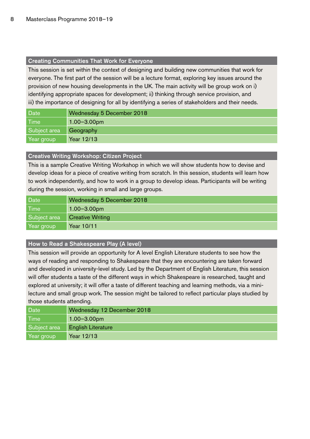#### Creating Communities That Work for Everyone

This session is set within the context of designing and building new communities that work for everyone. The first part of the session will be a lecture format, exploring key issues around the provision of new housing developments in the UK. The main activity will be group work on i) identifying appropriate spaces for development; ii) thinking through service provision, and iii) the importance of designing for all by identifying a series of stakeholders and their needs.

| Date         | Wednesday 5 December 2018 |
|--------------|---------------------------|
| Time         | $1.00 - 3.00$ pm          |
| Subject area | Geography                 |
| Year group   | Year 12/13                |

#### Creative Writing Workshop: Citizen Project

This is a sample Creative Writing Workshop in which we will show students how to devise and develop ideas for a piece of creative writing from scratch. In this session, students will learn how to work independently, and how to work in a group to develop ideas. Participants will be writing during the session, working in small and large groups.

| Date         | Wednesday 5 December 2018 |
|--------------|---------------------------|
| <b>Time</b>  | $1.00 - 3.00$ pm          |
| Subject area | <b>Creative Writing</b>   |
| Year group   | Year 10/11                |

#### How to Read a Shakespeare Play (A level)

This session will provide an opportunity for A level English Literature students to see how the ways of reading and responding to Shakespeare that they are encountering are taken forward and developed in university-level study. Led by the Department of English Literature, this session will offer students a taste of the different ways in which Shakespeare is researched, taught and explored at university; it will offer a taste of different teaching and learning methods, via a minilecture and small group work. The session might be tailored to reflect particular plays studied by those students attending.

| Date         | Wednesday 12 December 2018 |
|--------------|----------------------------|
| l Time       | $1.00 - 3.00$ pm           |
| Subiect area | <b>English Literature</b>  |
| Year group   | Year 12/13                 |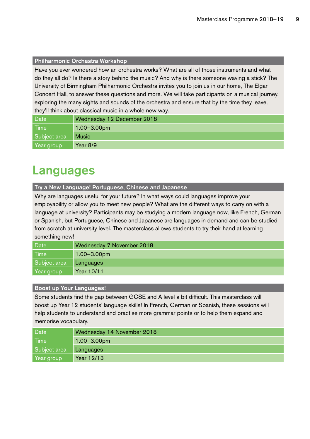#### Philharmonic Orchestra Workshop

Have you ever wondered how an orchestra works? What are all of those instruments and what do they all do? Is there a story behind the music? And why is there someone waving a stick? The University of Birmingham Philharmonic Orchestra invites you to join us in our home, The Elgar Concert Hall, to answer these questions and more. We will take participants on a musical journey, exploring the many sights and sounds of the orchestra and ensure that by the time they leave, they'll think about classical music in a whole new way.

| Date         | Wednesday 12 December 2018 |
|--------------|----------------------------|
| l Time       | $1.00 - 3.00$ pm           |
| Subject area | <b>Music</b>               |
| Year group   | Year $8/9$                 |

### Languages

#### Try a New Language! Portuguese, Chinese and Japanese

Why are languages useful for your future? In what ways could languages improve your employability or allow you to meet new people? What are the different ways to carry on with a language at university? Participants may be studying a modern language now, like French, German or Spanish, but Portuguese, Chinese and Japanese are languages in demand and can be studied from scratch at university level. The masterclass allows students to try their hand at learning something new!

| Date         | Wednesday 7 November 2018 |
|--------------|---------------------------|
| Time         | $1.00 - 3.00$ pm          |
| Subject area | Languages                 |
| Year group   | Year 10/11                |

#### Boost up Your Languages!

Some students find the gap between GCSE and A level a bit difficult. This masterclass will boost up Year 12 students' language skills! In French, German or Spanish, these sessions will help students to understand and practise more grammar points or to help them expand and memorise vocabulary.

| Date         | Wednesday 14 November 2018 |
|--------------|----------------------------|
| <b>Time</b>  | $1.00 - 3.00$ pm           |
| Subject area | Languages                  |
| Year group   | Year 12/13                 |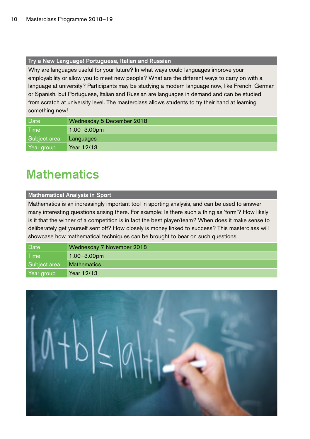#### Try a New Language! Portuguese, Italian and Russian

Why are languages useful for your future? In what ways could languages improve your employability or allow you to meet new people? What are the different ways to carry on with a language at university? Participants may be studying a modern language now, like French, German or Spanish, but Portuguese, Italian and Russian are languages in demand and can be studied from scratch at university level. The masterclass allows students to try their hand at learning something new!

| Date         | Wednesday 5 December 2018 |
|--------------|---------------------------|
| <b>Time</b>  | $1.00 - 3.00$ pm          |
| Subject area | Languages                 |
| Year group   | Year 12/13                |

## **Mathematics**

#### Mathematical Analysis in Sport

Mathematics is an increasingly important tool in sporting analysis, and can be used to answer many interesting questions arising there. For example: Is there such a thing as 'form'? How likely is it that the winner of a competition is in fact the best player/team? When does it make sense to deliberately get yourself sent off? How closely is money linked to success? This masterclass will showcase how mathematical techniques can be brought to bear on such questions.

| Date         | Wednesday 7 November 2018 |
|--------------|---------------------------|
| <b>Time</b>  | $1.00 - 3.00$ pm          |
| Subject area | <b>Mathematics</b>        |
| Year group   | Year 12/13                |

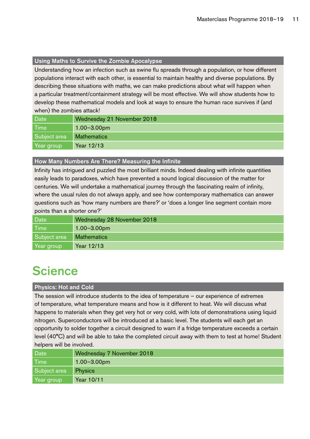#### Using Maths to Survive the Zombie Apocalypse

Understanding how an infection such as swine flu spreads through a population, or how different populations interact with each other, is essential to maintain healthy and diverse populations. By describing these situations with maths, we can make predictions about what will happen when a particular treatment/containment strategy will be most effective. We will show students how to develop these mathematical models and look at ways to ensure the human race survives if (and when) the zombies attack!

| Date         | Wednesday 21 November 2018 |
|--------------|----------------------------|
| <b>Time</b>  | $1.00 - 3.00$ pm           |
| Subject area | <b>Mathematics</b>         |
| Year group   | Year 12/13                 |

#### How Many Numbers Are There? Measuring the Infinite

Infinity has intrigued and puzzled the most brilliant minds. Indeed dealing with infinite quantities easily leads to paradoxes, which have prevented a sound logical discussion of the matter for centuries. We will undertake a mathematical journey through the fascinating realm of infinity, where the usual rules do not always apply, and see how contemporary mathematics can answer questions such as 'how many numbers are there?' or 'does a longer line segment contain more points than a shorter one?'

| Date         | Wednesday 28 November 2018 |
|--------------|----------------------------|
| <b>Time</b>  | $1.00 - 3.00$ pm           |
| Subject area | <b>Mathematics</b>         |
| Year group   | Year 12/13                 |

### **Science**

#### Physics: Hot and Cold

The session will introduce students to the idea of temperature – our experience of extremes of temperature, what temperature means and how is it different to heat. We will discuss what happens to materials when they get very hot or very cold, with lots of demonstrations using liquid nitrogen. Superconductors will be introduced at a basic level. The students will each get an opportunity to solder together a circuit designed to warn if a fridge temperature exceeds a certain level (40°C) and will be able to take the completed circuit away with them to test at home! Student helpers will be involved.

| Date         | Wednesday 7 November 2018 |
|--------------|---------------------------|
| l Time       | $1.00 - 3.00$ pm          |
| Subject area | <b>Physics</b>            |
| Year group   | Year 10/11                |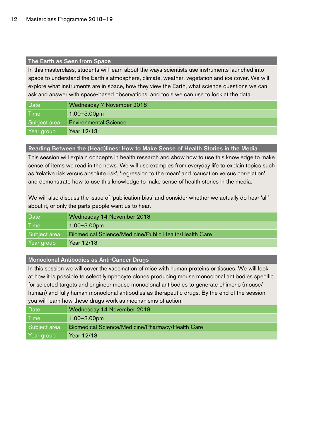#### The Earth as Seen from Space

In this masterclass, students will learn about the ways scientists use instruments launched into space to understand the Earth's atmosphere, climate, weather, vegetation and ice cover. We will explore what instruments are in space, how they view the Earth, what science questions we can ask and answer with space-based observations, and tools we can use to look at the data.

| Date         | Wednesday 7 November 2018    |
|--------------|------------------------------|
| <b>Time</b>  | $1.00 - 3.00$ pm             |
| Subject area | <b>Environmental Science</b> |
| Year group   | Year 12/13                   |

#### Reading Between the (Head)lines: How to Make Sense of Health Stories in the Media

This session will explain concepts in health research and show how to use this knowledge to make sense of items we read in the news. We will use examples from everyday life to explain topics such as 'relative risk versus absolute risk', 'regression to the mean' and 'causation versus correlation' and demonstrate how to use this knowledge to make sense of health stories in the media.

We will also discuss the issue of 'publication bias' and consider whether we actually do hear 'all' about it, or only the parts people want us to hear.

| Date         | Wednesday 14 November 2018                            |
|--------------|-------------------------------------------------------|
| Time         | $1.00 - 3.00$ pm                                      |
| Subject area | Biomedical Science/Medicine/Public Health/Health Care |
| Year group   | Year 12/13                                            |

#### Monoclonal Antibodies as Anti-Cancer Drugs

In this session we will cover the vaccination of mice with human proteins or tissues. We will look at how it is possible to select lymphocyte clones producing mouse monoclonal antibodies specific for selected targets and engineer mouse monoclonal antibodies to generate chimeric (mouse/ human) and fully human monoclonal antibodies as therapeutic drugs. By the end of the session you will learn how these drugs work as mechanisms of action.

| Date         | Wednesday 14 November 2018                       |
|--------------|--------------------------------------------------|
| l Time       | $1.00 - 3.00$ pm                                 |
| Subject area | Biomedical Science/Medicine/Pharmacy/Health Care |
| Year group   | Year 12/13                                       |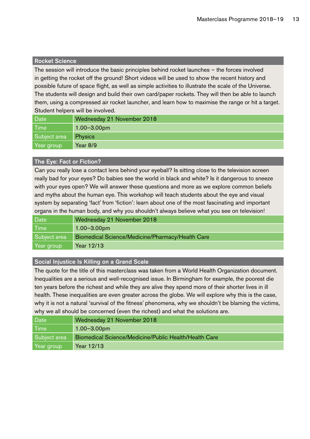#### Rocket Science

The session will introduce the basic principles behind rocket launches – the forces involved in getting the rocket off the ground! Short videos will be used to show the recent history and possible future of space flight, as well as simple activities to illustrate the scale of the Universe. The students will design and build their own card/paper rockets. They will then be able to launch them, using a compressed air rocket launcher, and learn how to maximise the range or hit a target. Student helpers will be involved.

| Date         | Wednesday 21 November 2018 |
|--------------|----------------------------|
| <b>Time</b>  | $1.00 - 3.00$ pm           |
| Subject area | <b>Physics</b>             |
| Year group   | Year $8/9$                 |

#### The Eye: Fact or Fiction?

Can you really lose a contact lens behind your eyeball? Is sitting close to the television screen really bad for your eyes? Do babies see the world in black and white? Is it dangerous to sneeze with your eyes open? We will answer these questions and more as we explore common beliefs and myths about the human eye. This workshop will teach students about the eye and visual system by separating 'fact' from 'fiction': learn about one of the most fascinating and important organs in the human body, and why you shouldn't always believe what you see on television!

| <b>Date</b>  | Wednesday 21 November 2018                       |
|--------------|--------------------------------------------------|
| <b>Time</b>  | $1.00 - 3.00$ pm                                 |
| Subject area | Biomedical Science/Medicine/Pharmacy/Health Care |
| Year group   | Year 12/13                                       |

#### Social Injustice Is Killing on a Grand Scale

The quote for the title of this masterclass was taken from a World Health Organization document. Inequalities are a serious and well-recognised issue. In Birmingham for example, the poorest die ten years before the richest and while they are alive they spend more of their shorter lives in ill health. These inequalities are even greater across the globe. We will explore why this is the case, why it is not a natural 'survival of the fitness' phenomena, why we shouldn't be blaming the victims, why we all should be concerned (even the richest) and what the solutions are.

| Date         | Wednesday 21 November 2018                            |
|--------------|-------------------------------------------------------|
| l Time       | $1.00 - 3.00$ pm                                      |
| Subject area | Biomedical Science/Medicine/Public Health/Health Care |
| Year group   | Year 12/13                                            |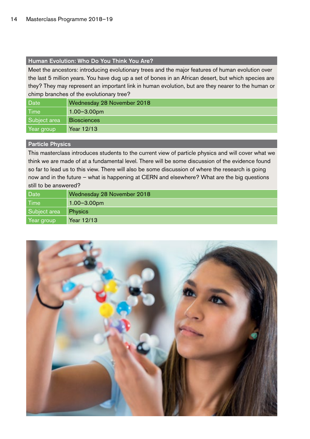#### Human Evolution: Who Do You Think You Are?

Meet the ancestors: introducing evolutionary trees and the major features of human evolution over the last 5 million years. You have dug up a set of bones in an African desert, but which species are they? They may represent an important link in human evolution, but are they nearer to the human or chimp branches of the evolutionary tree?

| Date              | Wednesday 28 November 2018 |
|-------------------|----------------------------|
| Time <sup>1</sup> | $1.00 - 3.00$ pm           |
| Subject area      | <b>Biosciences</b>         |
| Year group        | Year 12/13                 |

#### Particle Physics

This masterclass introduces students to the current view of particle physics and will cover what we think we are made of at a fundamental level. There will be some discussion of the evidence found so far to lead us to this view. There will also be some discussion of where the research is going now and in the future – what is happening at CERN and elsewhere? What are the big questions still to be answered?

| Date         | Wednesday 28 November 2018 |
|--------------|----------------------------|
| <b>Time</b>  | $1.00 - 3.00$ pm           |
| Subject area | <b>Physics</b>             |
| Year group   | Year 12/13                 |

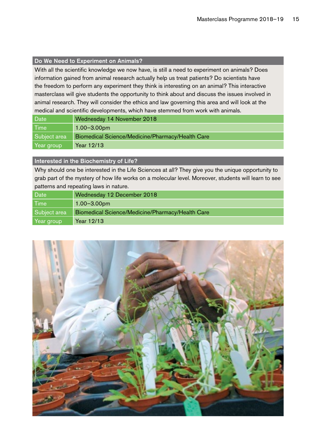#### Do We Need to Experiment on Animals?

With all the scientific knowledge we now have, is still a need to experiment on animals? Does information gained from animal research actually help us treat patients? Do scientists have the freedom to perform any experiment they think is interesting on an animal? This interactive masterclass will give students the opportunity to think about and discuss the issues involved in animal research. They will consider the ethics and law governing this area and will look at the medical and scientific developments, which have stemmed from work with animals.

| Date         | Wednesday 14 November 2018                       |
|--------------|--------------------------------------------------|
| <b>Time</b>  | $1.00 - 3.00$ pm                                 |
| Subject area | Biomedical Science/Medicine/Pharmacy/Health Care |
| Year group   | Year 12/13                                       |

#### Interested in the Biochemistry of Life?

Why should one be interested in the Life Sciences at all? They give you the unique opportunity to grab part of the mystery of how life works on a molecular level. Moreover, students will learn to see patterns and repeating laws in nature.

| Date         | Wednesday 12 December 2018                       |
|--------------|--------------------------------------------------|
| <b>Time</b>  | $1.00 - 3.00$ pm                                 |
| Subject area | Biomedical Science/Medicine/Pharmacy/Health Care |
| Year group   | Year 12/13                                       |

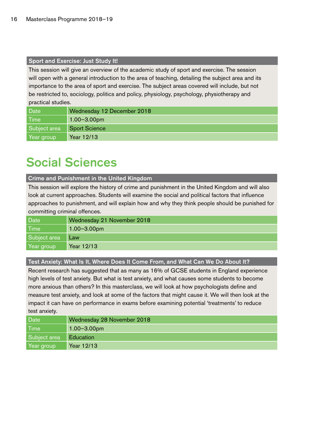#### Sport and Exercise: Just Study It!

This session will give an overview of the academic study of sport and exercise. The session will open with a general introduction to the area of teaching, detailing the subject area and its importance to the area of sport and exercise. The subject areas covered will include, but not be restricted to, sociology, politics and policy, physiology, psychology, physiotherapy and practical studies.

| <b>Date</b>  | Wednesday 12 December 2018 |
|--------------|----------------------------|
| Time         | $1.00 - 3.00$ pm           |
| Subject area | Sport Science              |
| Year group   | Year 12/13                 |

# Social Sciences

Crime and Punishment in the United Kingdom

This session will explore the history of crime and punishment in the United Kingdom and will also look at current approaches. Students will examine the social and political factors that influence approaches to punishment, and will explain how and why they think people should be punished for committing criminal offences.

| Date         | Wednesday 21 November 2018 |
|--------------|----------------------------|
| l Time       | $1.00 - 3.00$ pm           |
| Subject area | Law                        |
| Year group   | Year 12/13                 |

Test Anxiety: What Is It, Where Does It Come From, and What Can We Do About It?

Recent research has suggested that as many as 16% of GCSE students in England experience high levels of test anxiety. But what is test anxiety, and what causes some students to become more anxious than others? In this masterclass, we will look at how psychologists define and measure test anxiety, and look at some of the factors that might cause it. We will then look at the impact it can have on performance in exams before examining potential 'treatments' to reduce test anxiety.

| Date <sup>1</sup> | Wednesday 28 November 2018 |
|-------------------|----------------------------|
| <b>Time</b>       | $1.00 - 3.00$ pm           |
| Subject area      | <b>Education</b>           |
| Year group        | Year 12/13                 |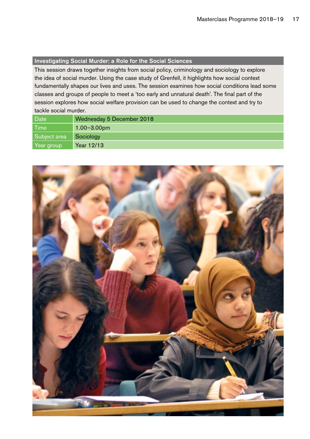#### Investigating Social Murder: a Role for the Social Sciences

This session draws together insights from social policy, criminology and sociology to explore the idea of social murder. Using the case study of Grenfell, it highlights how social context fundamentally shapes our lives and uses. The session examines how social conditions lead some classes and groups of people to meet a 'too early and unnatural death'. The final part of the session explores how social welfare provision can be used to change the context and try to tackle social murder.

| Date         | Wednesday 5 December 2018 |
|--------------|---------------------------|
| l Time       | $1.00 - 3.00$ pm          |
| Subiect area | Sociology                 |
| Year group   | Year 12/13                |

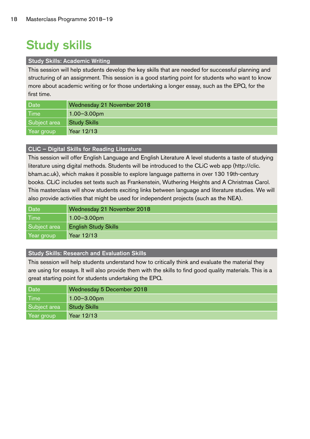# Study skills

#### Study Skills: Academic Writing

This session will help students develop the key skills that are needed for successful planning and structuring of an assignment. This session is a good starting point for students who want to know more about academic writing or for those undertaking a longer essay, such as the EPQ, for the first time.

| Date         | Wednesday 21 November 2018 |
|--------------|----------------------------|
| <b>Time</b>  | $1.00 - 3.00$ pm           |
| Subject area | <b>Study Skills</b>        |
| Year group   | Year 12/13                 |

#### CLiC – Digital Skills for Reading Literature

This session will offer English Language and English Literature A level students a taste of studying literature using digital methods. Students will be introduced to the CLiC web app (http://clic. bham.ac.uk), which makes it possible to explore language patterns in over 130 19th-century books. CLiC includes set texts such as Frankenstein, Wuthering Heights and A Christmas Carol. This masterclass will show students exciting links between language and literature studies. We will also provide activities that might be used for independent projects (such as the NEA).

| Date <sup>'</sup> | Wednesday 21 November 2018  |
|-------------------|-----------------------------|
| <b>Time</b>       | $1.00 - 3.00$ pm            |
| Subject area      | <b>English Study Skills</b> |
| Year group        | Year 12/13                  |

#### Study Skills: Research and Evaluation Skills

This session will help students understand how to critically think and evaluate the material they are using for essays. It will also provide them with the skills to find good quality materials. This is a great starting point for students undertaking the EPQ.

| Date         | Wednesday 5 December 2018 |
|--------------|---------------------------|
| <b>Time</b>  | $1.00 - 3.00$ pm          |
| Subject area | <b>Study Skills</b>       |
| Year group   | Year 12/13                |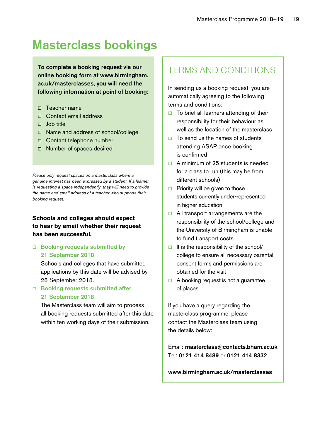# Masterclass bookings

To complete a booking request via our online booking form at www.birmingham. ac.uk/masterclasses, you will need the following information at point of booking:

- o Teacher name
- □ Contact email address
- $\Box$  Job title
- o Name and address of school/college
- □ Contact telephone number
- □ Number of spaces desired

*Please only request spaces on a masterclass where a genuine interest has been expressed by a student. If a learner is requesting a space independently, they will need to provide the name and email address of a teacher who supports their booking request.*

#### **Schools and colleges should expect to hear by email whether their request has been successful.**

#### $\Box$  Booking requests submitted by 21 September 2018

Schools and colleges that have submitted applications by this date will be advised by 28 September 2018.

#### $\Box$  Booking requests submitted after 21 September 2018

The Masterclass team will aim to process all booking requests submitted after this date within ten working days of their submission.

### TERMS AND CONDITIONS

In sending us a booking request, you are automatically agreeing to the following terms and conditions:

- $\Box$  To brief all learners attending of their responsibility for their behaviour as well as the location of the masterclass
- $\Box$  To send us the names of students attending ASAP once booking is confirmed
- $\Box$  A minimum of 25 students is needed for a class to run (this may be from different schools)
- $\Box$  Priority will be given to those students currently under-represented in higher education
- $\Box$  All transport arrangements are the responsibility of the school/college and the University of Birmingham is unable to fund transport costs
- $\Box$  It is the responsibility of the school/ college to ensure all necessary parental consent forms and permissions are obtained for the visit
- $\Box$  A booking request is not a quarantee of places

If you have a query regarding the masterclass programme, please contact the Masterclass team using the details below:

Email: masterclass@contacts.bham.ac.uk Tel: 0121 414 8489 or 0121 414 8332

#### www.birmingham.ac.uk/masterclasses